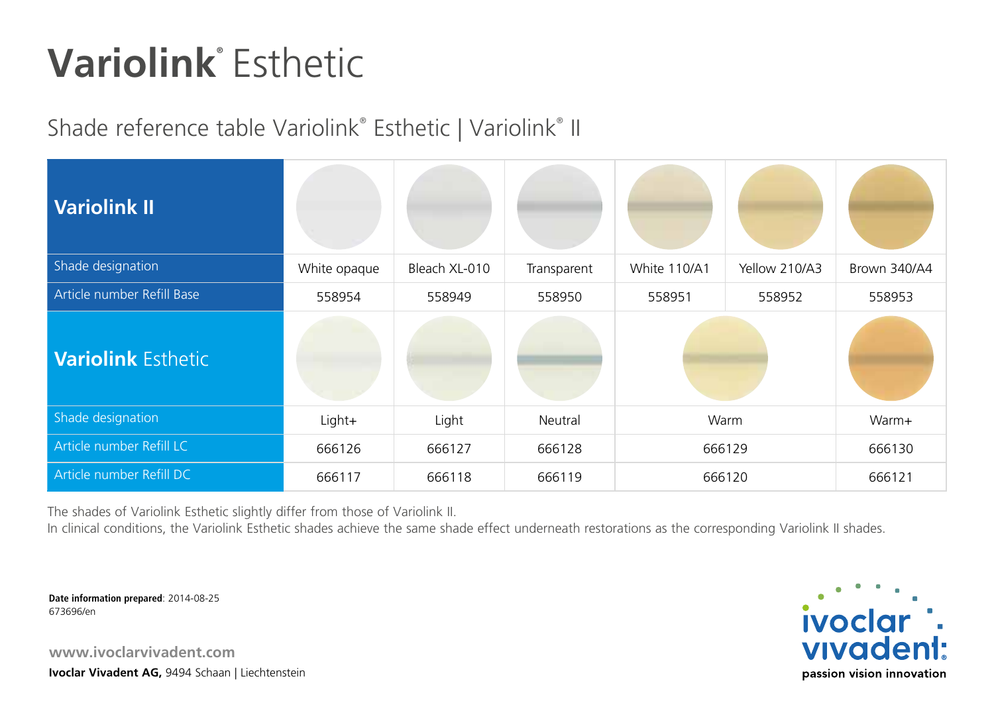## **Variolink®** Esthetic

## Shade reference table Variolink® Esthetic | Variolink® II

| <b>Variolink II</b>        |              |               |                  |              |               |              |
|----------------------------|--------------|---------------|------------------|--------------|---------------|--------------|
| Shade designation          | White opaque | Bleach XL-010 | Transparent      | White 110/A1 | Yellow 210/A3 | Brown 340/A4 |
| Article number Refill Base | 558954       | 558949        | 558950           | 558951       | 558952        | 558953       |
| <b>Variolink Esthetic</b>  |              |               |                  |              |               |              |
| Shade designation          | Light+       | Light         | Neutral          | Warm         |               | Warm+        |
| Article number Refill LC   | 666126       | 666127        | 666128<br>666129 |              | 666130        |              |
| Article number Refill DC   | 666117       | 666118        | 666119<br>666120 |              |               | 666121       |

The shades of Variolink Esthetic slightly differ from those of Variolink II.

In clinical conditions, the Variolink Esthetic shades achieve the same shade effect underneath restorations as the corresponding Variolink II shades.

**Date information prepared**: 2014-08-25 673696/en

**www.ivoclarvivadent.com Ivoclar Vivadent AG,** 9494 Schaan | Liechtenstein